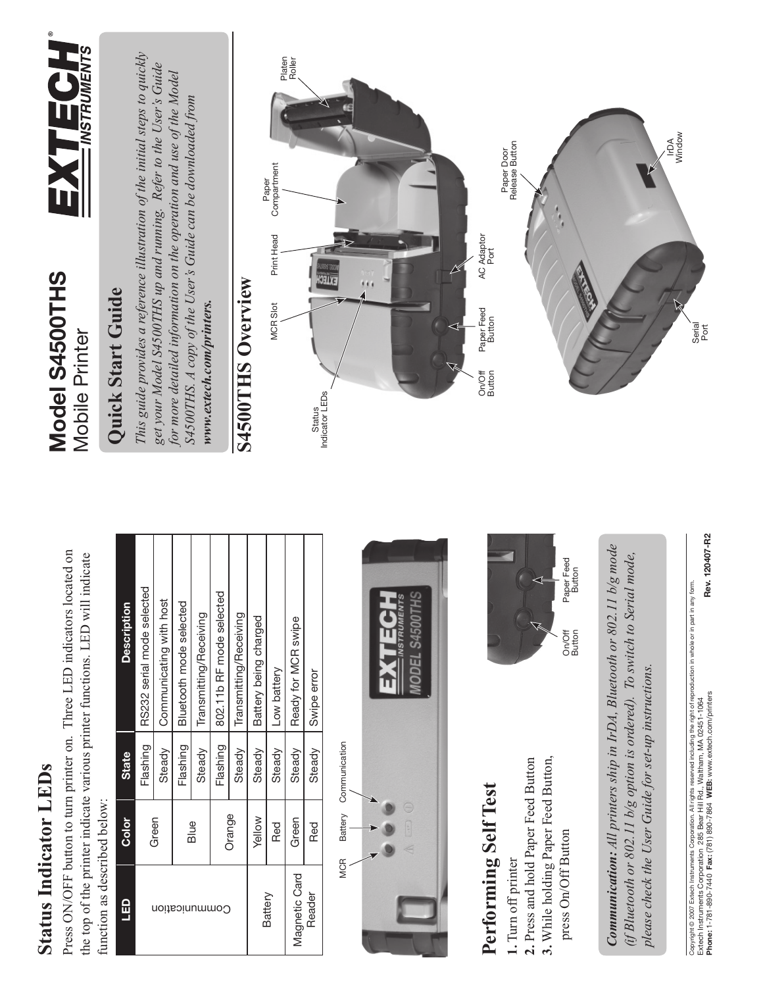## **Status Indicator LEDs Status Indicator LEDs**

Press ON/OFF button to turn printer on. Three LED indicators located on Press ON/OFF button to turn printer on. Three LED indicators located on the top of the printer indicate various printer functions. LED will indicate the top of the printer indicate various printer functions. LED will indicate function as described below: function as described below:

| <b>Description</b> | RS232 serial mode selected | Communicating with host |                         |                        | 802.11b RF mode selected |                        |                       |             |                         |             |
|--------------------|----------------------------|-------------------------|-------------------------|------------------------|--------------------------|------------------------|-----------------------|-------------|-------------------------|-------------|
|                    |                            |                         | Bluetooth mode selected | Transmitting/Receiving |                          | Transmitting/Receiving | Battery being charged | Low battery | Ready for MCR swipe     | Swipe error |
| <b>State</b>       | Flashing                   | Steady                  | Flashing                | Steady                 | Flashing                 | Steady                 | Steady                | Steady      | Steady                  | Steady      |
| <b>Color</b>       | Green                      |                         | Blue                    |                        | Orange                   |                        | <b>Yellow</b>         | Red         | Green                   | Red         |
| $\frac{1}{2}$      | ommunication               |                         |                         |                        |                          |                        | Battery               |             | Magnetic Card<br>Reader |             |

Communication MCR Battery Communication Battery **MCR** 



#### Performing Self Test **Performing Self Test**

- 1. Turn off printer **1.** Turn off printer
- **3.** While holding Paper Feed Button, 3. While holding Paper Feed Button, 2. Press and hold Paper Feed Button **2.** Press and hold Paper Feed Button
	- press On/Off Button press On/Off Button



On/Off Button Paper Feed<br>Button

*Communication: All printers ship in IrDA, Bluetooth or 802.11 b/g mode*  Communication: All printers ship in IrDA, Bluetooth or 802.11 b/g mode *(if Bluetooth or 802.11 b/g option is ordered). To switch to Serial mode,*  (if Bluetooth or 802.11 b/g option is ordered). To switch to Serial mode, please check the User Guide for set-up instructions. *please check the User Guide for set-up instructions.*

Rev. 120407-R2 **Phone:** 1-781-890-7440 **Fax:** (781) 890-7864 **WEB:** www.extech.com/printers **Rev. 120407-R2** Capyright⊚ 2007 Extech Instruments Corporation. All rights reserved including the right of reproduction in whole or in part in any form.<br>Extech Instruments Corporation 285 Bear Hill Rd., Waltham, MA 02451-1064<br>Phone: 1-7 Copyright © 2007 Extech Instruments Corporation. All rights reserved including the right of reproduction in whole or in part in any form. Extech Instruments Corporation 285 Bear Hill Rd., Waltham, MA 02451-1064

#### Model S4500THS **Model S4500THS Mobile Printer** Mobile Printer



#### Quick Start Guide **Quick Start Guide**

*This guide provides a reference illustration of the initial steps to quickly*  This guide provides a reference illustration of the initial steps to quickly get your Model S4500THS up and running. Refer to the User's Guide *get your Model S4500THS up and running. Refer to the User's Guide for more detailed information on the operation and use of the Model*  for more detailed information on the operation and use of the Model *S4500THS. A copy of the User's Guide can be downloaded from*  S4500THS. A copy of the User's Guide can be downloaded from www.extech.com/printers. *www.extech.com/printers.*

#### S4500THS Overview **S4500THS Overview**